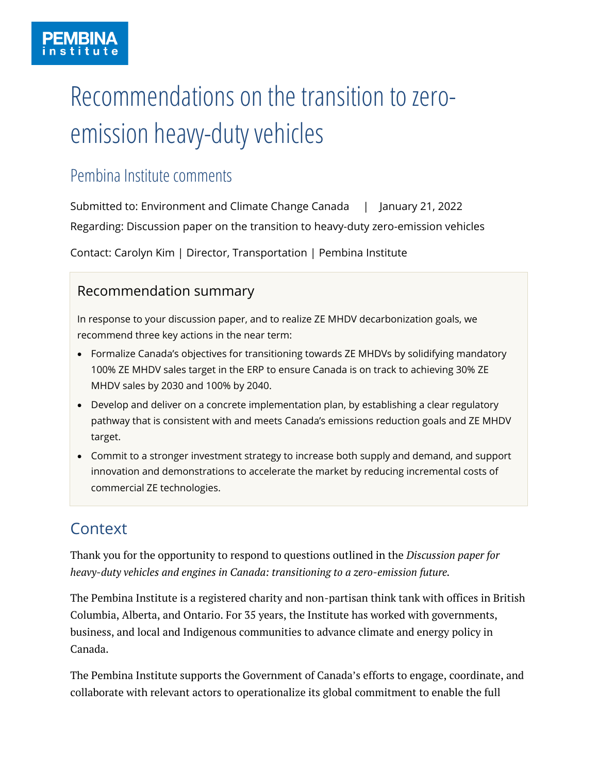# Recommendations on the transition to zeroemission heavy-duty vehicles

# Pembina Institute comments

Submitted to: Environment and Climate Change Canada | January 21, 2022 Regarding: Discussion paper on the transition to heavy-duty zero-emission vehicles

Contact: Carolyn Kim | Director, Transportation | Pembina Institute

## Recommendation summary

In response to your discussion paper, and to realize ZE MHDV decarbonization goals, we recommend three key actions in the near term:

- Formalize Canada's objectives for transitioning towards ZE MHDVs by solidifying mandatory 100% ZE MHDV sales target in the ERP to ensure Canada is on track to achieving 30% ZE MHDV sales by 2030 and 100% by 2040.
- Develop and deliver on a concrete implementation plan, by establishing a clear regulatory pathway that is consistent with and meets Canada's emissions reduction goals and ZE MHDV target.
- Commit to a stronger investment strategy to increase both supply and demand, and support innovation and demonstrations to accelerate the market by reducing incremental costs of commercial ZE technologies.

# **Context**

Thank you for the opportunity to respond to questions outlined in the *Discussion paper for heavy-duty vehicles and engines in Canada: transitioning to a zero-emission future.* 

The Pembina Institute is a registered charity and non-partisan think tank with offices in British Columbia, Alberta, and Ontario. For 35 years, the Institute has worked with governments, business, and local and Indigenous communities to advance climate and energy policy in Canada.

The Pembina Institute supports the Government of Canada's efforts to engage, coordinate, and collaborate with relevant actors to operationalize its global commitment to enable the full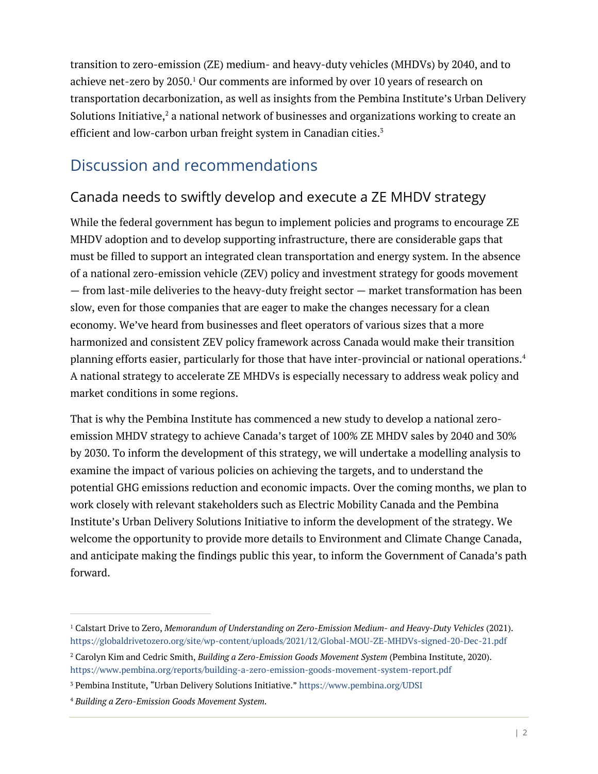transition to zero-emission (ZE) medium- and heavy-duty vehicles (MHDVs) by 2040, and to achieve net-zero by  $2050<sup>1</sup>$  Our comments are informed by over 10 years of research on transportation decarbonization, as well as insights from the Pembina Institute's Urban Delivery Solutions Initiative, $^2$  a national network of businesses and organizations working to create an efficient and low-carbon urban freight system in Canadian cities. 3

# Discussion and recommendations

# Canada needs to swiftly develop and execute a ZE MHDV strategy

While the federal government has begun to implement policies and programs to encourage ZE MHDV adoption and to develop supporting infrastructure, there are considerable gaps that must be filled to support an integrated clean transportation and energy system. In the absence of a national zero-emission vehicle (ZEV) policy and investment strategy for goods movement — from last-mile deliveries to the heavy-duty freight sector — market transformation has been slow, even for those companies that are eager to make the changes necessary for a clean economy. We've heard from businesses and fleet operators of various sizes that a more harmonized and consistent ZEV policy framework across Canada would make their transition planning efforts easier, particularly for those that have inter-provincial or national operations.<sup>4</sup> A national strategy to accelerate ZE MHDVs is especially necessary to address weak policy and market conditions in some regions.

That is why the Pembina Institute has commenced a new study to develop a national zeroemission MHDV strategy to achieve Canada's target of 100% ZE MHDV sales by 2040 and 30% by 2030. To inform the development of this strategy, we will undertake a modelling analysis to examine the impact of various policies on achieving the targets, and to understand the potential GHG emissions reduction and economic impacts. Over the coming months, we plan to work closely with relevant stakeholders such as Electric Mobility Canada and the Pembina Institute's Urban Delivery Solutions Initiative to inform the development of the strategy. We welcome the opportunity to provide more details to Environment and Climate Change Canada, and anticipate making the findings public this year, to inform the Government of Canada's path forward.

<sup>1</sup> Calstart Drive to Zero, *Memorandum of Understanding on Zero-Emission Medium- and Heavy-Duty Vehicles* (2021). <https://globaldrivetozero.org/site/wp-content/uploads/2021/12/Global-MOU-ZE-MHDVs-signed-20-Dec-21.pdf>

<sup>2</sup> Carolyn Kim and Cedric Smith, *Building a Zero-Emission Goods Movement System* (Pembina Institute, 2020). <https://www.pembina.org/reports/building-a-zero-emission-goods-movement-system-report.pdf>

<sup>3</sup> Pembina Institute, "Urban Delivery Solutions Initiative." <https://www.pembina.org/UDSI>

<sup>4</sup> *Building a Zero-Emission Goods Movement System.*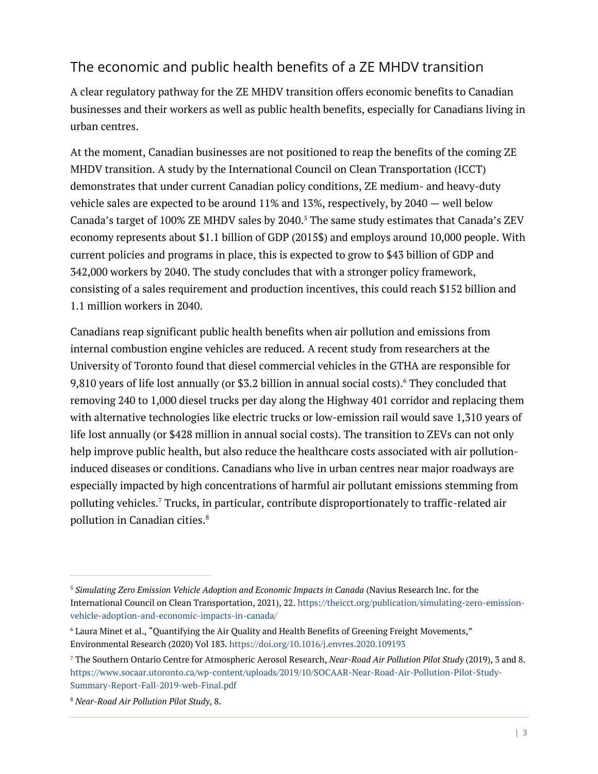## The economic and public health benefits of a ZE MHDV transition

A clear regulatory pathway for the ZE MHDV transition offers economic benefits to Canadian businesses and their workers as well as public health benefits, especially for Canadians living in urban centres.

At the moment, Canadian businesses are not positioned to reap the benefits of the coming ZE MHDV transition. A study by the International Council on Clean Transportation (ICCT) demonstrates that under current Canadian policy conditions, ZE medium- and heavy-duty vehicle sales are expected to be around 11% and 13%, respectively, by 2040 — well below Canada's target of 100% ZE MHDV sales by 2040.<sup>5</sup> The same study estimates that Canada's ZEV economy represents about \$1.1 billion of GDP (2015\$) and employs around 10,000 people. With current policies and programs in place, this is expected to grow to \$43 billion of GDP and 342,000 workers by 2040. The study concludes that with a stronger policy framework, consisting of a sales requirement and production incentives, this could reach \$152 billion and 1.1 million workers in 2040.

Canadians reap significant public health benefits when air pollution and emissions from internal combustion engine vehicles are reduced. A recent study from researchers at the University of Toronto found that diesel commercial vehicles in the GTHA are responsible for 9,810 years of life lost annually (or \$3.2 billion in annual social costs).<sup>6</sup> They concluded that removing 240 to 1,000 diesel trucks per day along the Highway 401 corridor and replacing them with alternative technologies like electric trucks or low-emission rail would save 1,310 years of life lost annually (or \$428 million in annual social costs). The transition to ZEVs can not only help improve public health, but also reduce the healthcare costs associated with air pollutioninduced diseases or conditions. Canadians who live in urban centres near major roadways are especially impacted by high concentrations of harmful air pollutant emissions stemming from polluting vehicles.<sup>7</sup> Trucks, in particular, contribute disproportionately to traffic-related air pollution in Canadian cities.<sup>8</sup>

<sup>5</sup> *Simulating Zero Emission Vehicle Adoption and Economic Impacts in Canada* (Navius Research Inc. for the International Council on Clean Transportation, 2021), 22. [https://theicct.org/publication/simulating-zero-emission](https://theicct.org/publication/simulating-zero-emission-vehicle-adoption-and-economic-impacts-in-canada/)[vehicle-adoption-and-economic-impacts-in-canada/](https://theicct.org/publication/simulating-zero-emission-vehicle-adoption-and-economic-impacts-in-canada/)

<sup>6</sup> Laura Minet et al., "Quantifying the Air Quality and Health Benefits of Greening Freight Movements," Environmental Research (2020) Vol 183.<https://doi.org/10.1016/j.envres.2020.109193>

<sup>7</sup> The Southern Ontario Centre for Atmospheric Aerosol Research, *Near-Road Air Pollution Pilot Study* (2019), 3 and 8. [https://www.socaar.utoronto.ca/wp-content/uploads/2019/10/SOCAAR-Near-Road-Air-Pollution-Pilot-Study-](https://www.socaar.utoronto.ca/wp-content/uploads/2019/10/SOCAAR-Near-Road-Air-Pollution-Pilot-Study-Summary-Report-Fall-2019-web-Final.pdf)[Summary-Report-Fall-2019-web-Final.pdf](https://www.socaar.utoronto.ca/wp-content/uploads/2019/10/SOCAAR-Near-Road-Air-Pollution-Pilot-Study-Summary-Report-Fall-2019-web-Final.pdf)

<sup>8</sup> *Near-Road Air Pollution Pilot Study*, 8.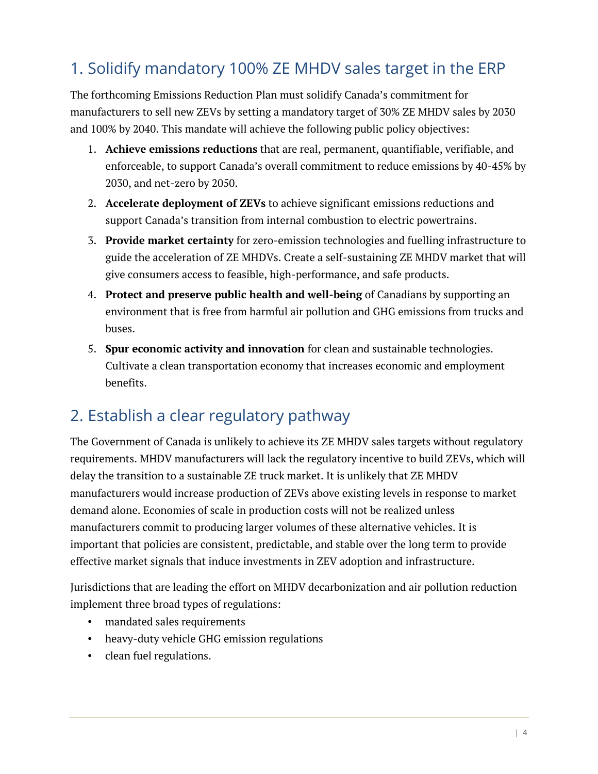# 1. Solidify mandatory 100% ZE MHDV sales target in the ERP

The forthcoming Emissions Reduction Plan must solidify Canada's commitment for manufacturers to sell new ZEVs by setting a mandatory target of 30% ZE MHDV sales by 2030 and 100% by 2040. This mandate will achieve the following public policy objectives:

- 1. **Achieve emissions reductions** that are real, permanent, quantifiable, verifiable, and enforceable, to support Canada's overall commitment to reduce emissions by 40-45% by 2030, and net-zero by 2050.
- 2. **Accelerate deployment of ZEVs** to achieve significant emissions reductions and support Canada's transition from internal combustion to electric powertrains.
- 3. **Provide market certainty** for zero-emission technologies and fuelling infrastructure to guide the acceleration of ZE MHDVs. Create a self-sustaining ZE MHDV market that will give consumers access to feasible, high-performance, and safe products.
- 4. **Protect and preserve public health and well-being** of Canadians by supporting an environment that is free from harmful air pollution and GHG emissions from trucks and buses.
- 5. **Spur economic activity and innovation** for clean and sustainable technologies. Cultivate a clean transportation economy that increases economic and employment benefits.

# 2. Establish a clear regulatory pathway

The Government of Canada is unlikely to achieve its ZE MHDV sales targets without regulatory requirements. MHDV manufacturers will lack the regulatory incentive to build ZEVs, which will delay the transition to a sustainable ZE truck market. It is unlikely that ZE MHDV manufacturers would increase production of ZEVs above existing levels in response to market demand alone. Economies of scale in production costs will not be realized unless manufacturers commit to producing larger volumes of these alternative vehicles. It is important that policies are consistent, predictable, and stable over the long term to provide effective market signals that induce investments in ZEV adoption and infrastructure.

Jurisdictions that are leading the effort on MHDV decarbonization and air pollution reduction implement three broad types of regulations:

- mandated sales requirements
- heavy-duty vehicle GHG emission regulations
- clean fuel regulations.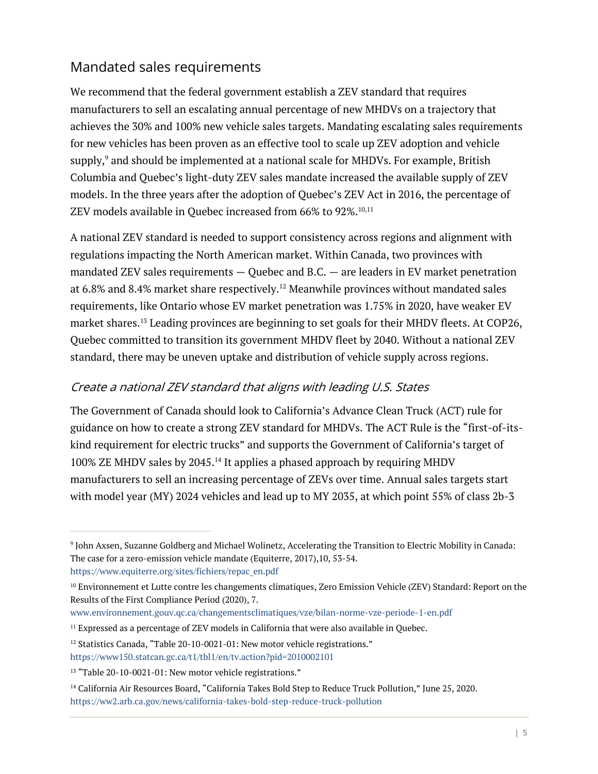## Mandated sales requirements

We recommend that the federal government establish a ZEV standard that requires manufacturers to sell an escalating annual percentage of new MHDVs on a trajectory that achieves the 30% and 100% new vehicle sales targets. Mandating escalating sales requirements for new vehicles has been proven as an effective tool to scale up ZEV adoption and vehicle supply, <sup>9</sup> and should be implemented at a national scale for MHDVs. For example, British Columbia and Quebec's light-duty ZEV sales mandate increased the available supply of ZEV models. In the three years after the adoption of Quebec's ZEV Act in 2016, the percentage of ZEV models available in Quebec increased from 66% to 92%.<sup>10,11</sup>

A national ZEV standard is needed to support consistency across regions and alignment with regulations impacting the North American market. Within Canada, two provinces with mandated ZEV sales requirements — Quebec and B.C. — are leaders in EV market penetration at 6.8% and 8.4% market share respectively.<sup>12</sup> Meanwhile provinces without mandated sales requirements, like Ontario whose EV market penetration was 1.75% in 2020, have weaker EV market shares.<sup>13</sup> Leading provinces are beginning to set goals for their MHDV fleets. At COP26, Quebec committed to transition its government MHDV fleet by 2040. Without a national ZEV standard, there may be uneven uptake and distribution of vehicle supply across regions.

#### Create a national ZEV standard that aligns with leading U.S. States

The Government of Canada should look to California's Advance Clean Truck (ACT) rule for guidance on how to create a strong ZEV standard for MHDVs. The ACT Rule is the "first-of-itskind requirement for electric trucks" and supports the Government of California's target of 100% ZE MHDV sales by 2045.<sup>14</sup> It applies a phased approach by requiring MHDV manufacturers to sell an increasing percentage of ZEVs over time. Annual sales targets start with model year (MY) 2024 vehicles and lead up to MY 2035, at which point 55% of class 2b-3

<sup>9</sup> John Axsen, Suzanne Goldberg and Michael Wolinetz, Accelerating the Transition to Electric Mobility in Canada: The case for a zero-emission vehicle mandate (Equiterre, 2017),10, 53-54. [https://www.equiterre.org/sites/fichiers/repac\\_en.pdf](https://www.equiterre.org/sites/fichiers/repac_en.pdf)

<sup>10</sup> Environnement et Lutte contre les changements climatiques, Zero Emission Vehicle (ZEV) Standard: Report on the Results of the First Compliance Period (2020), 7.

[www.environnement.gouv.qc.ca/changementsclimatiques/vze/bilan-norme-vze-periode-1-en.pdf](http://www.environnement.gouv.qc.ca/changementsclimatiques/vze/bilan-norme-vze-periode-1-en.pdf)

<sup>&</sup>lt;sup>11</sup> Expressed as a percentage of ZEV models in California that were also available in Quebec.

<sup>&</sup>lt;sup>12</sup> Statistics Canada, "Table 20-10-0021-01: New motor vehicle registrations."

<https://www150.statcan.gc.ca/t1/tbl1/en/tv.action?pid=2010002101>

<sup>&</sup>lt;sup>13</sup> "Table 20-10-0021-01: New motor vehicle registrations."

<sup>&</sup>lt;sup>14</sup> California Air Resources Board, "California Takes Bold Step to Reduce Truck Pollution," June 25, 2020. <https://ww2.arb.ca.gov/news/california-takes-bold-step-reduce-truck-pollution>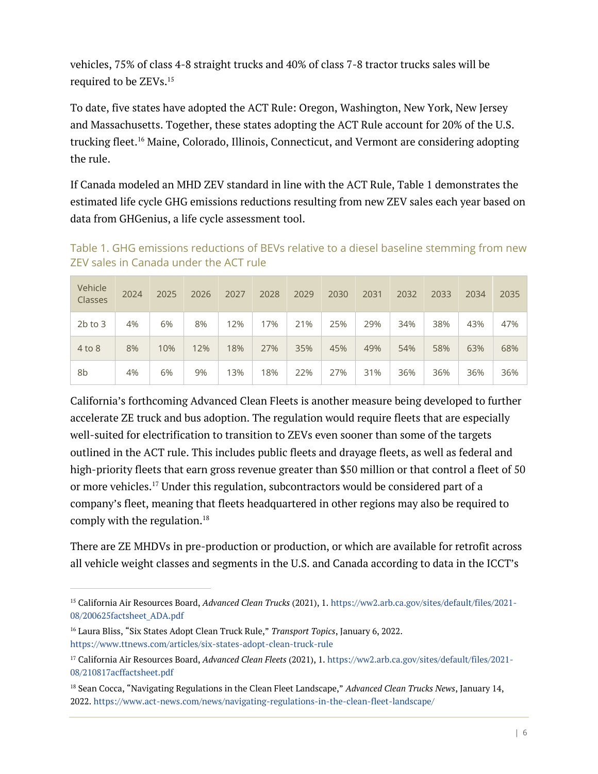vehicles, 75% of class 4-8 straight trucks and 40% of class 7-8 tractor trucks sales will be required to be ZEVs. 15

To date, five states have adopted the ACT Rule: Oregon, Washington, New York, New Jersey and Massachusetts. Together, these states adopting the ACT Rule account for 20% of the U.S. trucking fleet.<sup>16</sup> Maine, Colorado, Illinois, Connecticut, and Vermont are considering adopting the rule.

If Canada modeled an MHD ZEV standard in line with the ACT Rule, [Table 1](#page-5-0) demonstrates the estimated life cycle GHG emissions reductions resulting from new ZEV sales each year based on data from GHGenius, a life cycle assessment tool.

Vehicle Classes <sup>2024</sup> <sup>2025</sup> <sup>2026</sup> <sup>2027</sup> <sup>2028</sup> <sup>2029</sup> <sup>2030</sup> <sup>2031</sup> <sup>2032</sup> <sup>2033</sup> <sup>2034</sup> <sup>2035</sup> 2b to 3 4% 6% 8% 12% 17% 21% 25% 29% 34% 38% 43% 47%

4 to 8 | 8% | 10% | 12% | 18% | 27% | 35% | 45% | 49% | 54% | 58% | 63% | 68%

8b | 4% | 6% | 9% | 13% | 18% | 22% | 27% | 31% | 36% | 36% | 36% | 36%

<span id="page-5-0"></span>Table 1. GHG emissions reductions of BEVs relative to a diesel baseline stemming from new ZEV sales in Canada under the ACT rule

California's forthcoming Advanced Clean Fleets is another measure being developed to further accelerate ZE truck and bus adoption. The regulation would require fleets that are especially well-suited for electrification to transition to ZEVs even sooner than some of the targets outlined in the ACT rule. This includes public fleets and drayage fleets, as well as federal and high-priority fleets that earn gross revenue greater than \$50 million or that control a fleet of 50 or more vehicles.<sup>17</sup> Under this regulation, subcontractors would be considered part of a company's fleet, meaning that fleets headquartered in other regions may also be required to comply with the regulation.<sup>18</sup>

There are ZE MHDVs in pre-production or production, or which are available for retrofit across all vehicle weight classes and segments in the U.S. and Canada according to data in the ICCT's

<sup>15</sup> California Air Resources Board, *Advanced Clean Trucks* (2021), 1. [https://ww2.arb.ca.gov/sites/default/files/2021-](https://ww2.arb.ca.gov/sites/default/files/2021-08/200625factsheet_ADA.pdf) [08/200625factsheet\\_ADA.pdf](https://ww2.arb.ca.gov/sites/default/files/2021-08/200625factsheet_ADA.pdf)

<sup>16</sup> Laura Bliss, "Six States Adopt Clean Truck Rule," *Transport Topics*, January 6, 2022. <https://www.ttnews.com/articles/six-states-adopt-clean-truck-rule>

<sup>17</sup> California Air Resources Board, *Advanced Clean Fleets* (2021), 1[. https://ww2.arb.ca.gov/sites/default/files/2021-](https://ww2.arb.ca.gov/sites/default/files/2021-08/210817acffactsheet.pdf) [08/210817acffactsheet.pdf](https://ww2.arb.ca.gov/sites/default/files/2021-08/210817acffactsheet.pdf)

<sup>18</sup> Sean Cocca, "Navigating Regulations in the Clean Fleet Landscape," *Advanced Clean Trucks News*, January 14, 2022.<https://www.act-news.com/news/navigating-regulations-in-the-clean-fleet-landscape/>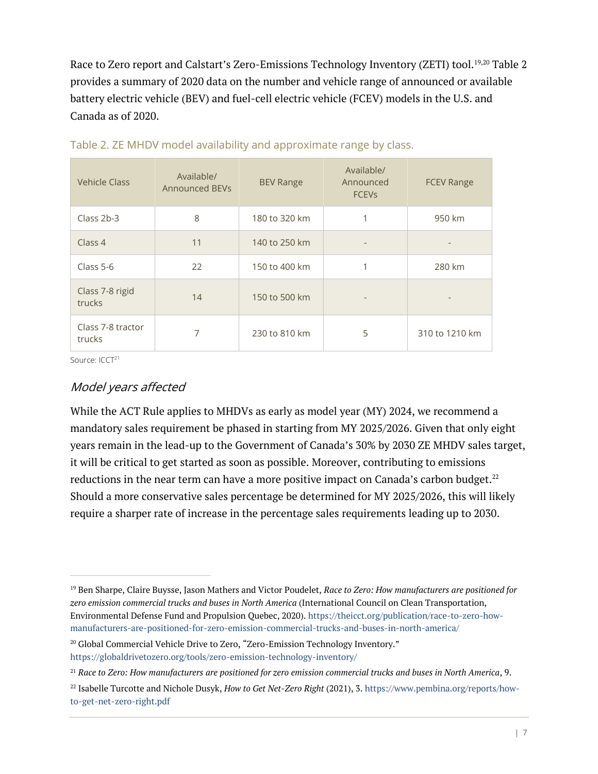Race to Zero report and Calstart's Zero-Emissions Technology Inventory (ZETI) tool.<sup>19,20</sup> [Table 2](#page-6-0) provides a summary of 2020 data on the number and vehicle range of announced or available battery electric vehicle (BEV) and fuel-cell electric vehicle (FCEV) models in the U.S. and Canada as of 2020.

| <b>Vehicle Class</b>        | Available/<br><b>Announced BEVs</b> | <b>BEV Range</b> | Available/<br>Announced<br><b>FCEV<sub>S</sub></b> | <b>FCEV Range</b> |
|-----------------------------|-------------------------------------|------------------|----------------------------------------------------|-------------------|
| Class 2b-3                  | 8                                   | 180 to 320 km    |                                                    | 950 km            |
| Class 4                     | 11                                  | 140 to 250 km    | -                                                  |                   |
| Class 5-6                   | 22                                  | 150 to 400 km    | 1                                                  | 280 km            |
| Class 7-8 rigid<br>trucks   | 14                                  | 150 to 500 km    |                                                    |                   |
| Class 7-8 tractor<br>trucks | 7                                   | 230 to 810 km    | 5                                                  | 310 to 1210 km    |

<span id="page-6-0"></span>

| Table 2. ZE MHDV model availability and approximate range by class. |  |  |
|---------------------------------------------------------------------|--|--|
|                                                                     |  |  |

Source: ICCT<sup>21</sup>

#### Model years affected

While the ACT Rule applies to MHDVs as early as model year (MY) 2024, we recommend a mandatory sales requirement be phased in starting from MY 2025/2026. Given that only eight years remain in the lead-up to the Government of Canada's 30% by 2030 ZE MHDV sales target, it will be critical to get started as soon as possible. Moreover, contributing to emissions reductions in the near term can have a more positive impact on Canada's carbon budget. $^{22}$ Should a more conservative sales percentage be determined for MY 2025/2026, this will likely require a sharper rate of increase in the percentage sales requirements leading up to 2030.

<sup>19</sup> Ben Sharpe, Claire Buysse, Jason Mathers and Victor Poudelet, *Race to Zero: How manufacturers are positioned for zero emission commercial trucks and buses in North America* (International Council on Clean Transportation, Environmental Defense Fund and Propulsion Quebec, 2020)[. https://theicct.org/publication/race-to-zero-how](https://theicct.org/publication/race-to-zero-how-manufacturers-are-positioned-for-zero-emission-commercial-trucks-and-buses-in-north-america/)[manufacturers-are-positioned-for-zero-emission-commercial-trucks-and-buses-in-north-america/](https://theicct.org/publication/race-to-zero-how-manufacturers-are-positioned-for-zero-emission-commercial-trucks-and-buses-in-north-america/)

<sup>&</sup>lt;sup>20</sup> Global Commercial Vehicle Drive to Zero, "Zero-Emission Technology Inventory."

<https://globaldrivetozero.org/tools/zero-emission-technology-inventory/>

<sup>21</sup> *Race to Zero: How manufacturers are positioned for zero emission commercial trucks and buses in North America*, 9.

<sup>22</sup> Isabelle Turcotte and Nichole Dusyk, *How to Get Net-Zero Right* (2021), 3[. https://www.pembina.org/reports/how](https://www.pembina.org/reports/how-to-get-net-zero-right.pdf)[to-get-net-zero-right.pdf](https://www.pembina.org/reports/how-to-get-net-zero-right.pdf)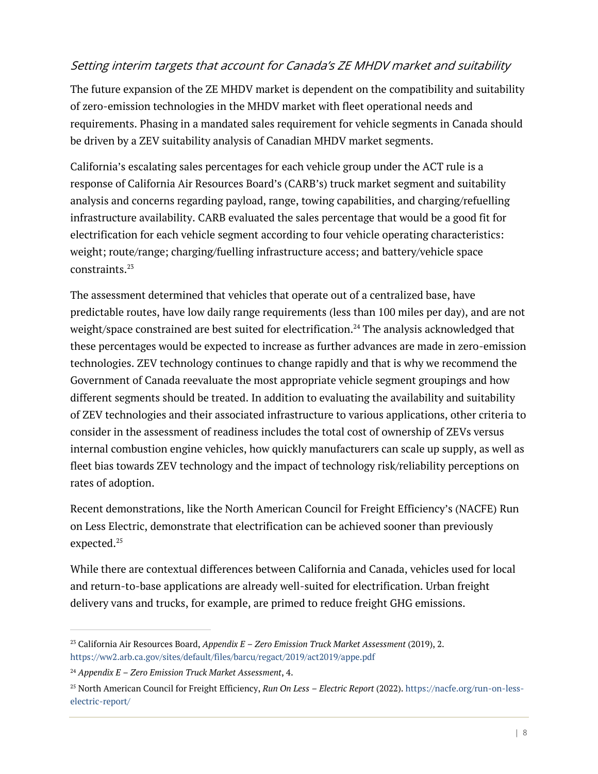#### Setting interim targets that account for Canada's ZE MHDV market and suitability

The future expansion of the ZE MHDV market is dependent on the compatibility and suitability of zero-emission technologies in the MHDV market with fleet operational needs and requirements. Phasing in a mandated sales requirement for vehicle segments in Canada should be driven by a ZEV suitability analysis of Canadian MHDV market segments.

California's escalating sales percentages for each vehicle group under the ACT rule is a response of California Air Resources Board's (CARB's) truck market segment and suitability analysis and concerns regarding payload, range, towing capabilities, and charging/refuelling infrastructure availability. CARB evaluated the sales percentage that would be a good fit for electrification for each vehicle segment according to four vehicle operating characteristics: weight; route/range; charging/fuelling infrastructure access; and battery/vehicle space constraints.<sup>23</sup>

The assessment determined that vehicles that operate out of a centralized base, have predictable routes, have low daily range requirements (less than 100 miles per day), and are not weight/space constrained are best suited for electrification. <sup>24</sup> The analysis acknowledged that these percentages would be expected to increase as further advances are made in zero-emission technologies. ZEV technology continues to change rapidly and that is why we recommend the Government of Canada reevaluate the most appropriate vehicle segment groupings and how different segments should be treated. In addition to evaluating the availability and suitability of ZEV technologies and their associated infrastructure to various applications, other criteria to consider in the assessment of readiness includes the total cost of ownership of ZEVs versus internal combustion engine vehicles, how quickly manufacturers can scale up supply, as well as fleet bias towards ZEV technology and the impact of technology risk/reliability perceptions on rates of adoption.

Recent demonstrations, like the North American Council for Freight Efficiency's (NACFE) Run on Less Electric, demonstrate that electrification can be achieved sooner than previously expected. 25

While there are contextual differences between California and Canada, vehicles used for local and return-to-base applications are already well-suited for electrification. Urban freight delivery vans and trucks, for example, are primed to reduce freight GHG emissions.

<sup>23</sup> California Air Resources Board, *Appendix E – Zero Emission Truck Market Assessment* (2019), 2. <https://ww2.arb.ca.gov/sites/default/files/barcu/regact/2019/act2019/appe.pdf>

<sup>24</sup> *Appendix E – Zero Emission Truck Market Assessment*, 4.

<sup>25</sup> North American Council for Freight Efficiency, *Run On Less – Electric Report* (2022)[. https://nacfe.org/run-on-less](https://nacfe.org/run-on-less-electric-report/)[electric-report/](https://nacfe.org/run-on-less-electric-report/)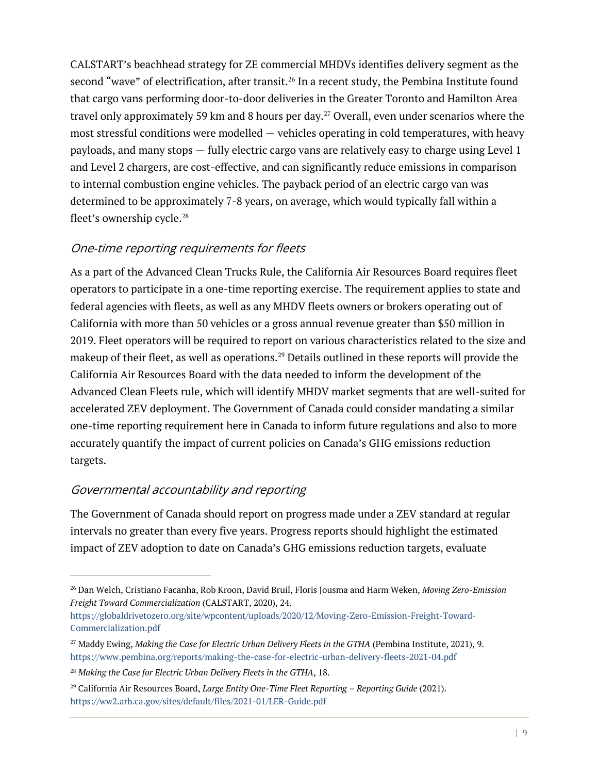CALSTART's beachhead strategy for ZE commercial MHDVs identifies delivery segment as the second "wave" of electrification, after transit.<sup>26</sup> In a recent study, the Pembina Institute found that cargo vans performing door-to-door deliveries in the Greater Toronto and Hamilton Area travel only approximately 59 km and 8 hours per day. <sup>27</sup> Overall, even under scenarios where the most stressful conditions were modelled — vehicles operating in cold temperatures, with heavy payloads, and many stops — fully electric cargo vans are relatively easy to charge using Level 1 and Level 2 chargers, are cost-effective, and can significantly reduce emissions in comparison to internal combustion engine vehicles. The payback period of an electric cargo van was determined to be approximately 7-8 years, on average, which would typically fall within a fleet's ownership cycle. $^{\rm 28}$ 

#### One-time reporting requirements for fleets

As a part of the Advanced Clean Trucks Rule, the California Air Resources Board requires fleet operators to participate in a one-time reporting exercise. The requirement applies to state and federal agencies with fleets, as well as any MHDV fleets owners or brokers operating out of California with more than 50 vehicles or a gross annual revenue greater than \$50 million in 2019. Fleet operators will be required to report on various characteristics related to the size and makeup of their fleet, as well as operations.<sup>29</sup> Details outlined in these reports will provide the California Air Resources Board with the data needed to inform the development of the Advanced Clean Fleets rule, which will identify MHDV market segments that are well-suited for accelerated ZEV deployment. The Government of Canada could consider mandating a similar one-time reporting requirement here in Canada to inform future regulations and also to more accurately quantify the impact of current policies on Canada's GHG emissions reduction targets.

#### Governmental accountability and reporting

The Government of Canada should report on progress made under a ZEV standard at regular intervals no greater than every five years. Progress reports should highlight the estimated impact of ZEV adoption to date on Canada's GHG emissions reduction targets, evaluate

<sup>26</sup> Dan Welch, Cristiano Facanha, Rob Kroon, David Bruil, Floris Jousma and Harm Weken, *Moving Zero-Emission Freight Toward Commercialization* (CALSTART, 2020), 24.

[https://globaldrivetozero.org/site/wpcontent/uploads/2020/12/Moving-Zero-Emission-Freight-Toward-](https://globaldrivetozero.org/site/wpcontent/uploads/2020/12/Moving-Zero-Emission-Freight-Toward-Commercialization.pdf)[Commercialization.pdf](https://globaldrivetozero.org/site/wpcontent/uploads/2020/12/Moving-Zero-Emission-Freight-Toward-Commercialization.pdf)

<sup>27</sup> Maddy Ewing, *Making the Case for Electric Urban Delivery Fleets in the GTHA* (Pembina Institute, 2021), 9. <https://www.pembina.org/reports/making-the-case-for-electric-urban-delivery-fleets-2021-04.pdf>

<sup>28</sup> *Making the Case for Electric Urban Delivery Fleets in the GTHA*, 18.

<sup>29</sup> California Air Resources Board, *Large Entity One-Time Fleet Reporting – Reporting Guide* (2021). <https://ww2.arb.ca.gov/sites/default/files/2021-01/LER-Guide.pdf>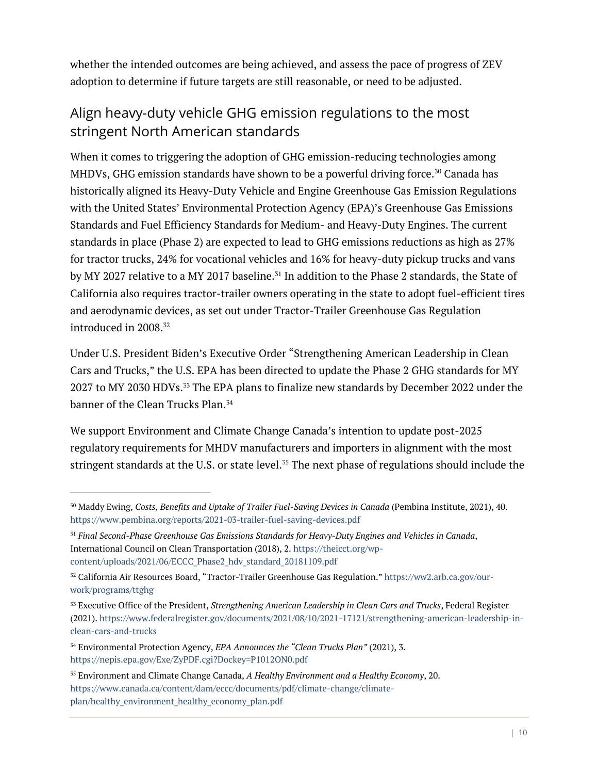whether the intended outcomes are being achieved, and assess the pace of progress of ZEV adoption to determine if future targets are still reasonable, or need to be adjusted.

# Align heavy-duty vehicle GHG emission regulations to the most stringent North American standards

When it comes to triggering the adoption of GHG emission-reducing technologies among MHDVs, GHG emission standards have shown to be a powerful driving force.<sup>30</sup> Canada has historically aligned its Heavy-Duty Vehicle and Engine Greenhouse Gas Emission Regulations with the United States' Environmental Protection Agency (EPA)'s Greenhouse Gas Emissions Standards and Fuel Efficiency Standards for Medium- and Heavy-Duty Engines. The current standards in place (Phase 2) are expected to lead to GHG emissions reductions as high as 27% for tractor trucks, 24% for vocational vehicles and 16% for heavy-duty pickup trucks and vans by MY 2027 relative to a MY 2017 baseline.<sup>31</sup> In addition to the Phase 2 standards, the State of California also requires tractor-trailer owners operating in the state to adopt fuel-efficient tires and aerodynamic devices, as set out under Tractor-Trailer Greenhouse Gas Regulation introduced in 2008. 32

Under U.S. President Biden's Executive Order "Strengthening American Leadership in Clean Cars and Trucks," the U.S. EPA has been directed to update the Phase 2 GHG standards for MY 2027 to MY 2030 HDVs.<sup>33</sup> The EPA plans to finalize new standards by December 2022 under the banner of the Clean Trucks Plan.<sup>34</sup>

We support Environment and Climate Change Canada's intention to update post-2025 regulatory requirements for MHDV manufacturers and importers in alignment with the most stringent standards at the U.S. or state level.<sup>35</sup> The next phase of regulations should include the

<sup>30</sup> Maddy Ewing, *Costs, Benefits and Uptake of Trailer Fuel-Saving Devices in Canada* (Pembina Institute, 2021), 40. <https://www.pembina.org/reports/2021-03-trailer-fuel-saving-devices.pdf>

<sup>31</sup> *Final Second-Phase Greenhouse Gas Emissions Standards for Heavy-Duty Engines and Vehicles in Canada*, International Council on Clean Transportation (2018), 2[. https://theicct.org/wp](https://theicct.org/wp-content/uploads/2021/06/ECCC_Phase2_hdv_standard_20181109.pdf)[content/uploads/2021/06/ECCC\\_Phase2\\_hdv\\_standard\\_20181109.pdf](https://theicct.org/wp-content/uploads/2021/06/ECCC_Phase2_hdv_standard_20181109.pdf)

<sup>32</sup> California Air Resources Board, "Tractor-Trailer Greenhouse Gas Regulation." [https://ww2.arb.ca.gov/our](https://ww2.arb.ca.gov/our-work/programs/ttghg)[work/programs/ttghg](https://ww2.arb.ca.gov/our-work/programs/ttghg)

<sup>33</sup> Executive Office of the President, *Strengthening American Leadership in Clean Cars and Trucks*, Federal Register (2021). [https://www.federalregister.gov/documents/2021/08/10/2021-17121/strengthening-american-leadership-in](https://www.federalregister.gov/documents/2021/08/10/2021-17121/strengthening-american-leadership-in-clean-cars-and-trucks)[clean-cars-and-trucks](https://www.federalregister.gov/documents/2021/08/10/2021-17121/strengthening-american-leadership-in-clean-cars-and-trucks)

<sup>34</sup> Environmental Protection Agency, *EPA Announces the "Clean Trucks Plan"* (2021), 3. <https://nepis.epa.gov/Exe/ZyPDF.cgi?Dockey=P1012ON0.pdf>

<sup>35</sup> Environment and Climate Change Canada, *A Healthy Environment and a Healthy Economy*, 20. [https://www.canada.ca/content/dam/eccc/documents/pdf/climate-change/climate](https://www.canada.ca/content/dam/eccc/documents/pdf/climate-change/climate-plan/healthy_environment_healthy_economy_plan.pdf)[plan/healthy\\_environment\\_healthy\\_economy\\_plan.pdf](https://www.canada.ca/content/dam/eccc/documents/pdf/climate-change/climate-plan/healthy_environment_healthy_economy_plan.pdf)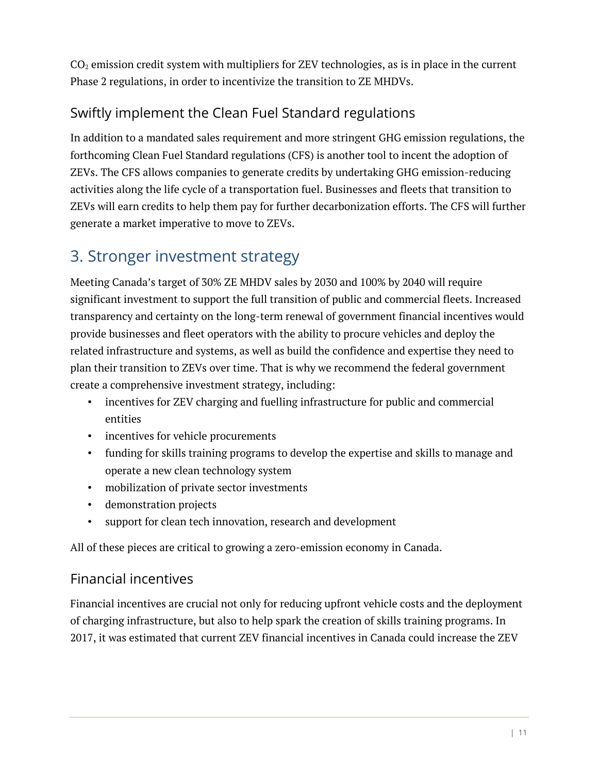$CO<sub>2</sub>$  emission credit system with multipliers for ZEV technologies, as is in place in the current Phase 2 regulations, in order to incentivize the transition to ZE MHDVs.

# Swiftly implement the Clean Fuel Standard regulations

In addition to a mandated sales requirement and more stringent GHG emission regulations, the forthcoming Clean Fuel Standard regulations (CFS) is another tool to incent the adoption of ZEVs. The CFS allows companies to generate credits by undertaking GHG emission-reducing activities along the life cycle of a transportation fuel. Businesses and fleets that transition to ZEVs will earn credits to help them pay for further decarbonization efforts. The CFS will further generate a market imperative to move to ZEVs.

# 3. Stronger investment strategy

Meeting Canada's target of 30% ZE MHDV sales by 2030 and 100% by 2040 will require significant investment to support the full transition of public and commercial fleets. Increased transparency and certainty on the long-term renewal of government financial incentives would provide businesses and fleet operators with the ability to procure vehicles and deploy the related infrastructure and systems, as well as build the confidence and expertise they need to plan their transition to ZEVs over time. That is why we recommend the federal government create a comprehensive investment strategy, including:

- incentives for ZEV charging and fuelling infrastructure for public and commercial entities
- incentives for vehicle procurements
- funding for skills training programs to develop the expertise and skills to manage and operate a new clean technology system
- mobilization of private sector investments
- demonstration projects
- support for clean tech innovation, research and development

All of these pieces are critical to growing a zero-emission economy in Canada.

## Financial incentives

Financial incentives are crucial not only for reducing upfront vehicle costs and the deployment of charging infrastructure, but also to help spark the creation of skills training programs. In 2017, it was estimated that current ZEV financial incentives in Canada could increase the ZEV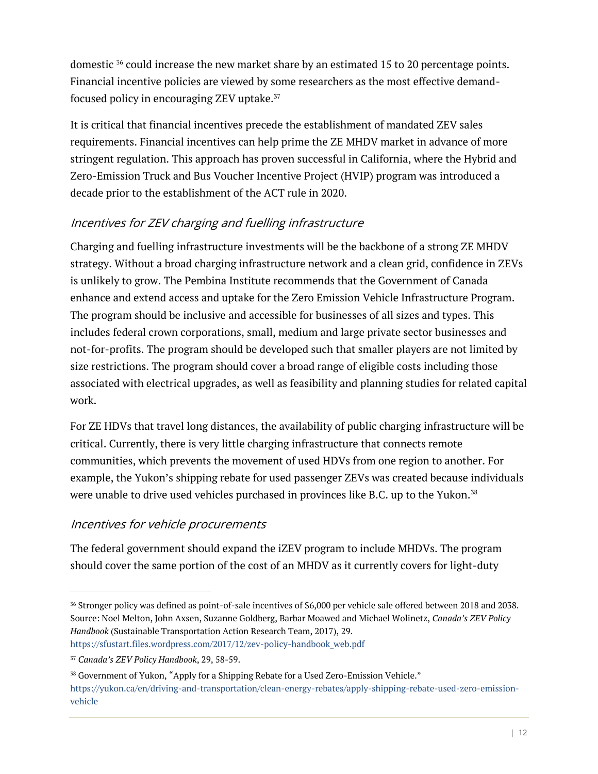domestic <sup>36</sup> could increase the new market share by an estimated 15 to 20 percentage points. Financial incentive policies are viewed by some researchers as the most effective demandfocused policy in encouraging ZEV uptake. 37

It is critical that financial incentives precede the establishment of mandated ZEV sales requirements. Financial incentives can help prime the ZE MHDV market in advance of more stringent regulation. This approach has proven successful in California, where the Hybrid and Zero-Emission Truck and Bus Voucher Incentive Project (HVIP) program was introduced a decade prior to the establishment of the ACT rule in 2020.

### Incentives for ZEV charging and fuelling infrastructure

Charging and fuelling infrastructure investments will be the backbone of a strong ZE MHDV strategy. Without a broad charging infrastructure network and a clean grid, confidence in ZEVs is unlikely to grow. The Pembina Institute recommends that the Government of Canada enhance and extend access and uptake for the Zero Emission Vehicle Infrastructure Program. The program should be inclusive and accessible for businesses of all sizes and types. This includes federal crown corporations, small, medium and large private sector businesses and not-for-profits. The program should be developed such that smaller players are not limited by size restrictions. The program should cover a broad range of eligible costs including those associated with electrical upgrades, as well as feasibility and planning studies for related capital work.

For ZE HDVs that travel long distances, the availability of public charging infrastructure will be critical. Currently, there is very little charging infrastructure that connects remote communities, which prevents the movement of used HDVs from one region to another. For example, the Yukon's shipping rebate for used passenger ZEVs was created because individuals were unable to drive used vehicles purchased in provinces like B.C. up to the Yukon.<sup>38</sup>

## Incentives for vehicle procurements

The federal government should expand the iZEV program to include MHDVs. The program should cover the same portion of the cost of an MHDV as it currently covers for light-duty

<sup>36</sup> Stronger policy was defined as point-of-sale incentives of \$6,000 per vehicle sale offered between 2018 and 2038. Source: Noel Melton, John Axsen, Suzanne Goldberg, Barbar Moawed and Michael Wolinetz, *Canada's ZEV Policy Handbook* (Sustainable Transportation Action Research Team, 2017), 29.

[https://sfustart.files.wordpress.com/2017/12/zev-policy-handbook\\_web.pdf](https://sfustart.files.wordpress.com/2017/12/zev-policy-handbook_web.pdf)

<sup>37</sup> *Canada's ZEV Policy Handbook*, 29, 58-59.

<sup>38</sup> Government of Yukon, "Apply for a Shipping Rebate for a Used Zero-Emission Vehicle." [https://yukon.ca/en/driving-and-transportation/clean-energy-rebates/apply-shipping-rebate-used-zero-emission](https://yukon.ca/en/driving-and-transportation/clean-energy-rebates/apply-shipping-rebate-used-zero-emission-vehicle)[vehicle](https://yukon.ca/en/driving-and-transportation/clean-energy-rebates/apply-shipping-rebate-used-zero-emission-vehicle)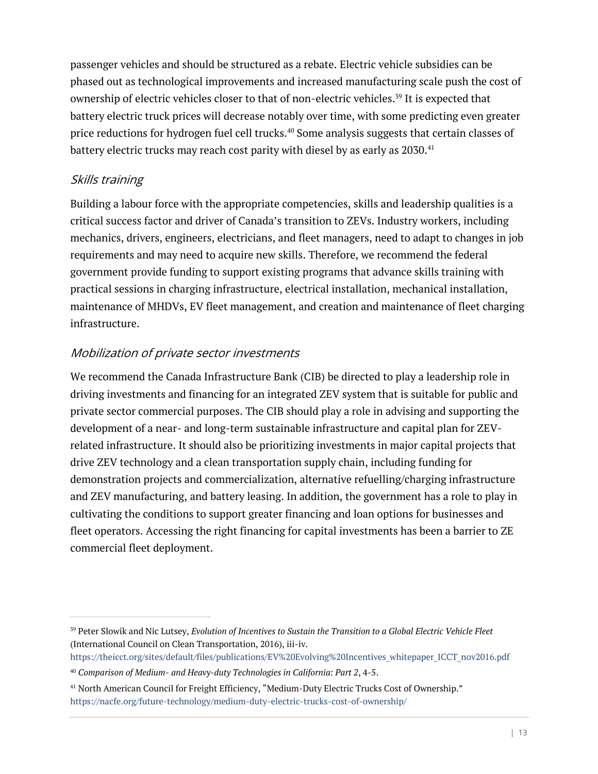passenger vehicles and should be structured as a rebate. Electric vehicle subsidies can be phased out as technological improvements and increased manufacturing scale push the cost of ownership of electric vehicles closer to that of non-electric vehicles.<sup>39</sup> It is expected that battery electric truck prices will decrease notably over time, with some predicting even greater price reductions for hydrogen fuel cell trucks.<sup>40</sup> Some analysis suggests that certain classes of battery electric trucks may reach cost parity with diesel by as early as  $2030.^{41}$ 

#### Skills training

Building a labour force with the appropriate competencies, skills and leadership qualities is a critical success factor and driver of Canada's transition to ZEVs. Industry workers, including mechanics, drivers, engineers, electricians, and fleet managers, need to adapt to changes in job requirements and may need to acquire new skills. Therefore, we recommend the federal government provide funding to support existing programs that advance skills training with practical sessions in charging infrastructure, electrical installation, mechanical installation, maintenance of MHDVs, EV fleet management, and creation and maintenance of fleet charging infrastructure.

## Mobilization of private sector investments

We recommend the Canada Infrastructure Bank (CIB) be directed to play a leadership role in driving investments and financing for an integrated ZEV system that is suitable for public and private sector commercial purposes. The CIB should play a role in advising and supporting the development of a near- and long-term sustainable infrastructure and capital plan for ZEVrelated infrastructure. It should also be prioritizing investments in major capital projects that drive ZEV technology and a clean transportation supply chain, including funding for demonstration projects and commercialization, alternative refuelling/charging infrastructure and ZEV manufacturing, and battery leasing. In addition, the government has a role to play in cultivating the conditions to support greater financing and loan options for businesses and fleet operators. Accessing the right financing for capital investments has been a barrier to ZE commercial fleet deployment.

<sup>39</sup> Peter Slowik and Nic Lutsey, *Evolution of Incentives to Sustain the Transition to a Global Electric Vehicle Fleet*  (International Council on Clean Transportation, 2016), iii-iv.

[https://theicct.org/sites/default/files/publications/EV%20Evolving%20Incentives\\_whitepaper\\_ICCT\\_nov2016.pdf](https://theicct.org/sites/default/files/publications/EV%20Evolving%20Incentives_whitepaper_ICCT_nov2016.pdf)

<sup>40</sup> *Comparison of Medium- and Heavy-duty Technologies in California: Part 2*, 4-5.

<sup>41</sup> North American Council for Freight Efficiency, "Medium-Duty Electric Trucks Cost of Ownership." <https://nacfe.org/future-technology/medium-duty-electric-trucks-cost-of-ownership/>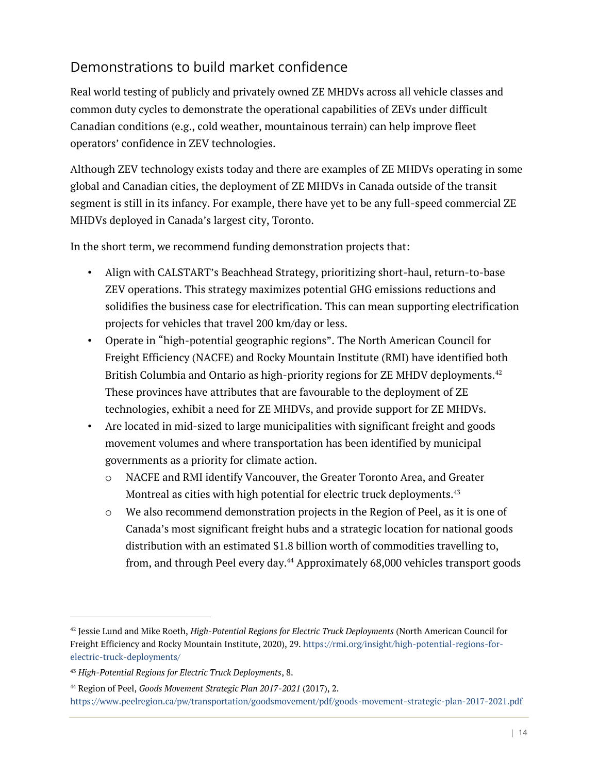## Demonstrations to build market confidence

Real world testing of publicly and privately owned ZE MHDVs across all vehicle classes and common duty cycles to demonstrate the operational capabilities of ZEVs under difficult Canadian conditions (e.g., cold weather, mountainous terrain) can help improve fleet operators' confidence in ZEV technologies.

Although ZEV technology exists today and there are examples of ZE MHDVs operating in some global and Canadian cities, the deployment of ZE MHDVs in Canada outside of the transit segment is still in its infancy. For example, there have yet to be any full-speed commercial ZE MHDVs deployed in Canada's largest city, Toronto.

In the short term, we recommend funding demonstration projects that:

- Align with CALSTART's Beachhead Strategy, prioritizing short-haul, return-to-base ZEV operations. This strategy maximizes potential GHG emissions reductions and solidifies the business case for electrification. This can mean supporting electrification projects for vehicles that travel 200 km/day or less.
- Operate in "high-potential geographic regions". The North American Council for Freight Efficiency (NACFE) and Rocky Mountain Institute (RMI) have identified both British Columbia and Ontario as high-priority regions for ZE MHDV deployments.<sup>42</sup> These provinces have attributes that are favourable to the deployment of ZE technologies, exhibit a need for ZE MHDVs, and provide support for ZE MHDVs.
- Are located in mid-sized to large municipalities with significant freight and goods movement volumes and where transportation has been identified by municipal governments as a priority for climate action.
	- o NACFE and RMI identify Vancouver, the Greater Toronto Area, and Greater Montreal as cities with high potential for electric truck deployments. 43
	- $\circ$  We also recommend demonstration projects in the Region of Peel, as it is one of Canada's most significant freight hubs and a strategic location for national goods distribution with an estimated \$1.8 billion worth of commodities travelling to, from, and through Peel every day.<sup>44</sup> Approximately 68,000 vehicles transport goods

<sup>42</sup> Jessie Lund and Mike Roeth, *High-Potential Regions for Electric Truck Deployments* (North American Council for Freight Efficiency and Rocky Mountain Institute, 2020), 29[. https://rmi.org/insight/high-potential-regions-for](https://rmi.org/insight/high-potential-regions-for-electric-truck-deployments/)[electric-truck-deployments/](https://rmi.org/insight/high-potential-regions-for-electric-truck-deployments/)

<sup>43</sup> *High-Potential Regions for Electric Truck Deployments*, 8.

<sup>44</sup> Region of Peel, *Goods Movement Strategic Plan 2017-2021* (2017), 2. <https://www.peelregion.ca/pw/transportation/goodsmovement/pdf/goods-movement-strategic-plan-2017-2021.pdf>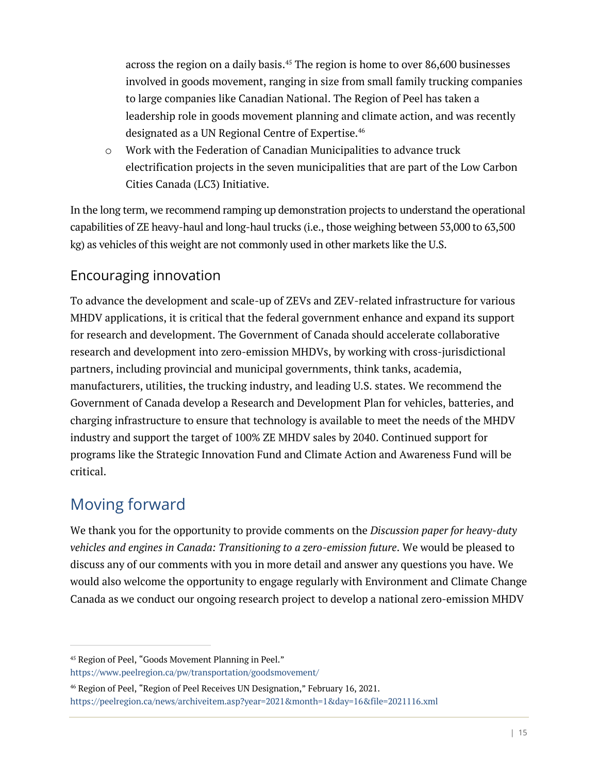across the region on a daily basis.<sup>45</sup> The region is home to over 86,600 businesses involved in goods movement, ranging in size from small family trucking companies to large companies like Canadian National. The Region of Peel has taken a leadership role in goods movement planning and climate action, and was recently designated as a UN Regional Centre of Expertise.<sup>46</sup>

o Work with the Federation of Canadian Municipalities to advance truck electrification projects in the seven municipalities that are part of the Low Carbon Cities Canada (LC3) Initiative.

In the long term, we recommend ramping up demonstration projects to understand the operational capabilities of ZE heavy-haul and long-haul trucks (i.e., those weighing between 53,000 to 63,500 kg) as vehicles of this weight are not commonly used in other markets like the U.S.

## Encouraging innovation

To advance the development and scale-up of ZEVs and ZEV-related infrastructure for various MHDV applications, it is critical that the federal government enhance and expand its support for research and development. The Government of Canada should accelerate collaborative research and development into zero-emission MHDVs, by working with cross-jurisdictional partners, including provincial and municipal governments, think tanks, academia, manufacturers, utilities, the trucking industry, and leading U.S. states. We recommend the Government of Canada develop a Research and Development Plan for vehicles, batteries, and charging infrastructure to ensure that technology is available to meet the needs of the MHDV industry and support the target of 100% ZE MHDV sales by 2040. Continued support for programs like the Strategic Innovation Fund and Climate Action and Awareness Fund will be critical.

# Moving forward

We thank you for the opportunity to provide comments on the *Discussion paper for heavy-duty vehicles and engines in Canada: Transitioning to a zero-emission future*. We would be pleased to discuss any of our comments with you in more detail and answer any questions you have. We would also welcome the opportunity to engage regularly with Environment and Climate Change Canada as we conduct our ongoing research project to develop a national zero-emission MHDV

<sup>45</sup> Region of Peel, "Goods Movement Planning in Peel."

<https://www.peelregion.ca/pw/transportation/goodsmovement/>

<sup>46</sup> Region of Peel, "Region of Peel Receives UN Designation," February 16, 2021. <https://peelregion.ca/news/archiveitem.asp?year=2021&month=1&day=16&file=2021116.xml>